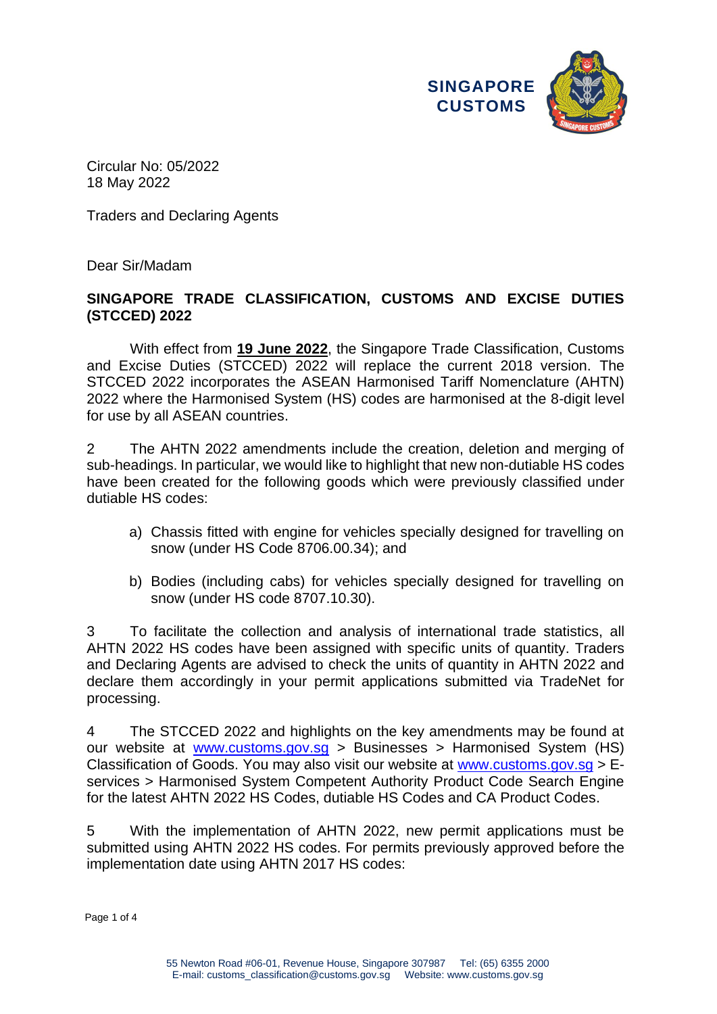

Circular No: 05/2022 18 May 2022

Traders and Declaring Agents

Dear Sir/Madam

# **SINGAPORE TRADE CLASSIFICATION, CUSTOMS AND EXCISE DUTIES (STCCED) 2022**

With effect from **19 June 2022**, the Singapore Trade Classification, Customs and Excise Duties (STCCED) 2022 will replace the current 2018 version. The STCCED 2022 incorporates the ASEAN Harmonised Tariff Nomenclature (AHTN) 2022 where the Harmonised System (HS) codes are harmonised at the 8-digit level for use by all ASEAN countries.

2 The AHTN 2022 amendments include the creation, deletion and merging of sub-headings. In particular, we would like to highlight that new non-dutiable HS codes have been created for the following goods which were previously classified under dutiable HS codes:

- a) Chassis fitted with engine for vehicles specially designed for travelling on snow (under HS Code 8706.00.34); and
- b) Bodies (including cabs) for vehicles specially designed for travelling on snow (under HS code 8707.10.30).

3 To facilitate the collection and analysis of international trade statistics, all AHTN 2022 HS codes have been assigned with specific units of quantity. Traders and Declaring Agents are advised to check the units of quantity in AHTN 2022 and declare them accordingly in your permit applications submitted via TradeNet for processing.

4 The STCCED 2022 and highlights on the key amendments may be found at our website at [www.customs.gov.sg](https://www.customs.gov.sg/) > Businesses > Harmonised System (HS) Classification of Goods. You may also visit our website at [www.customs.gov.sg](https://www.customs.gov.sg/) > Eservices > Harmonised System Competent Authority Product Code Search Engine for the latest AHTN 2022 HS Codes, dutiable HS Codes and CA Product Codes.

5 With the implementation of AHTN 2022, new permit applications must be submitted using AHTN 2022 HS codes. For permits previously approved before the implementation date using AHTN 2017 HS codes:

Page 1 of 4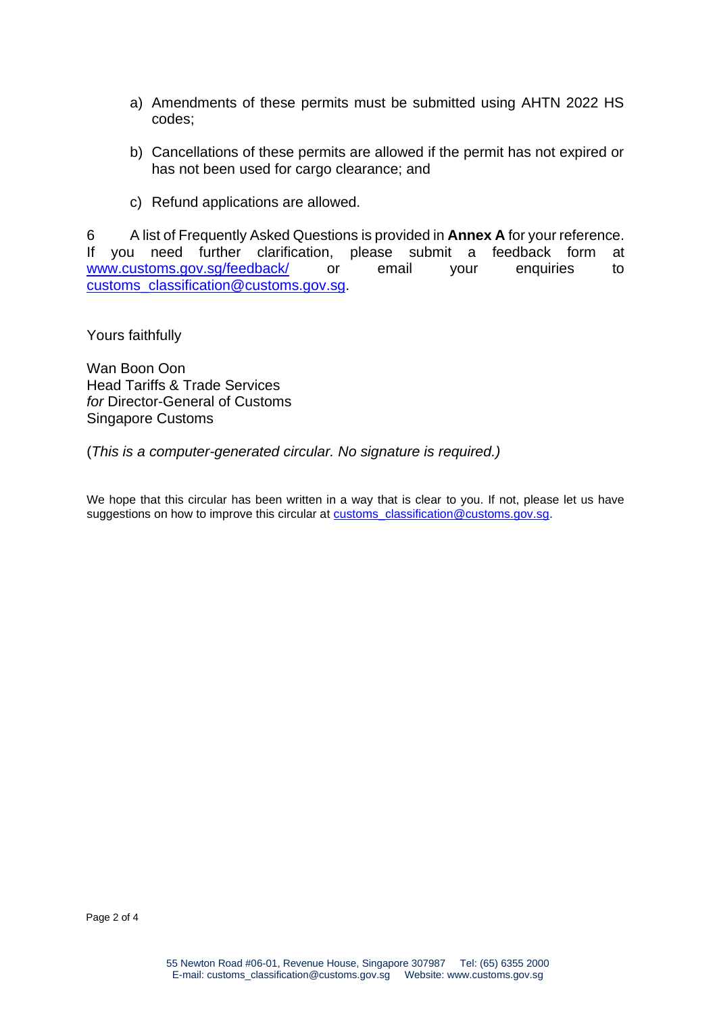- a) Amendments of these permits must be submitted using AHTN 2022 HS codes;
- b) Cancellations of these permits are allowed if the permit has not expired or has not been used for cargo clearance; and
- c) Refund applications are allowed.

6 A list of Frequently Asked Questions is provided in **Annex A** for your reference. If you need further clarification, please submit a feedback form at [www.customs.gov.sg/feedback/](https://www.customs.gov.sg/feedback/) or email your enquiries to [customs\\_classification@customs.gov.sg.](mailto:customs_classification@customs.gov.sg)

Yours faithfully

Wan Boon Oon Head Tariffs & Trade Services *for* Director-General of Customs Singapore Customs

(*This is a computer-generated circular. No signature is required.)*

We hope that this circular has been written in a way that is clear to you. If not, please let us have suggestions on how to improve this circular at [customs\\_classification@customs.gov.sg.](mailto:customs_classification@customs.gov.sg)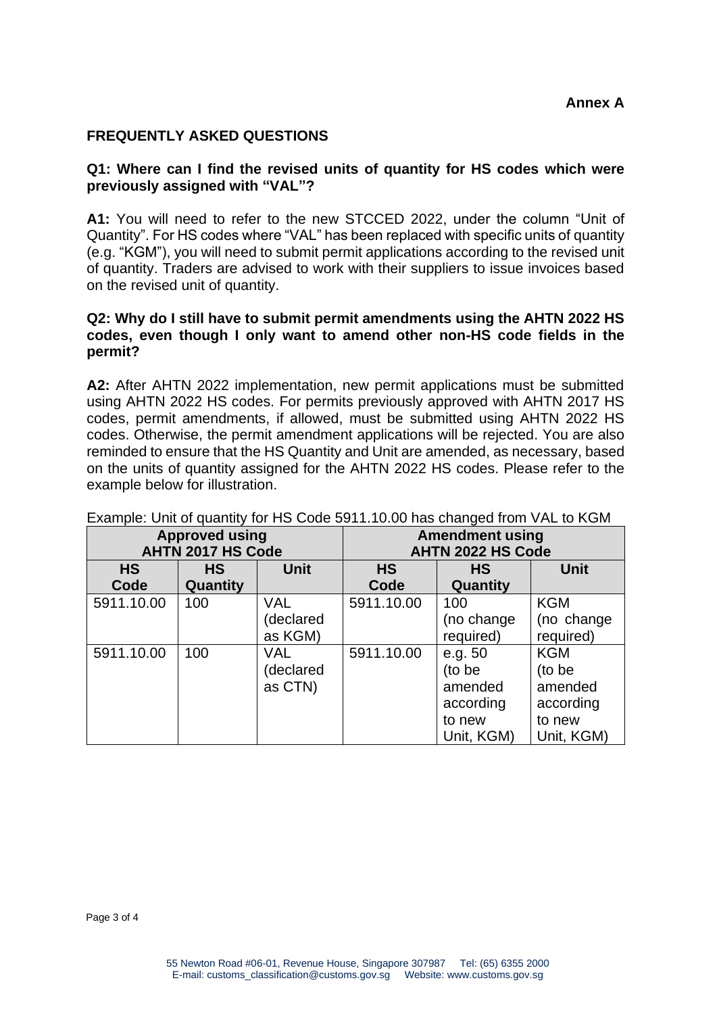## **FREQUENTLY ASKED QUESTIONS**

#### **Q1: Where can I find the revised units of quantity for HS codes which were previously assigned with "VAL"?**

**A1:** You will need to refer to the new STCCED 2022, under the column "Unit of Quantity". For HS codes where "VAL" has been replaced with specific units of quantity (e.g. "KGM"), you will need to submit permit applications according to the revised unit of quantity. Traders are advised to work with their suppliers to issue invoices based on the revised unit of quantity.

### **Q2: Why do I still have to submit permit amendments using the AHTN 2022 HS codes, even though I only want to amend other non-HS code fields in the permit?**

**A2:** After AHTN 2022 implementation, new permit applications must be submitted using AHTN 2022 HS codes. For permits previously approved with AHTN 2017 HS codes, permit amendments, if allowed, must be submitted using AHTN 2022 HS codes. Otherwise, the permit amendment applications will be rejected. You are also reminded to ensure that the HS Quantity and Unit are amended, as necessary, based on the units of quantity assigned for the AHTN 2022 HS codes. Please refer to the example below for illustration.

| Example: Unit of quantity for HS Code 59 FT. TO.00 has changed from VAL to NGM |           |             |                          |            |             |
|--------------------------------------------------------------------------------|-----------|-------------|--------------------------|------------|-------------|
| <b>Approved using</b>                                                          |           |             | <b>Amendment using</b>   |            |             |
| <b>AHTN 2017 HS Code</b>                                                       |           |             | <b>AHTN 2022 HS Code</b> |            |             |
| <b>HS</b>                                                                      | <b>HS</b> | <b>Unit</b> | <b>HS</b>                | HS         | <b>Unit</b> |
| Code                                                                           | Quantity  |             | Code                     | Quantity   |             |
| 5911.10.00                                                                     | 100       | <b>VAL</b>  | 5911.10.00               | 100        | <b>KGM</b>  |
|                                                                                |           | (declared   |                          | (no change | (no change  |
|                                                                                |           | as KGM)     |                          | required)  | required)   |
| 5911.10.00                                                                     | 100       | VAL.        | 5911.10.00               | e.g. 50    | <b>KGM</b>  |
|                                                                                |           | (declared   |                          | (to be     | (to be      |
|                                                                                |           | as CTN)     |                          | amended    | amended     |
|                                                                                |           |             |                          | according  | according   |
|                                                                                |           |             |                          | to new     | to new      |
|                                                                                |           |             |                          | Unit, KGM) | Unit, KGM)  |

Example: Unit of quantity for HS Code 5911.10.00 has changed from VAL to KGM